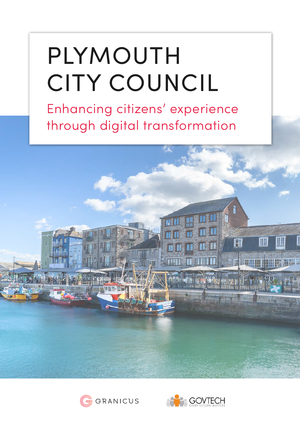# PLYMOUTH CITY COUNCIL

Enhancing citizens' experience through digital transformation





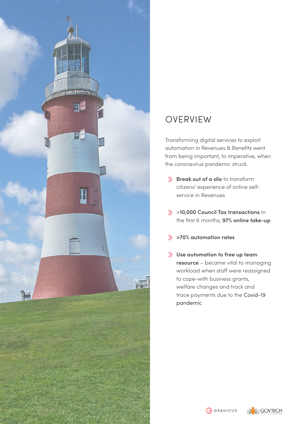

### OVERVIEW

Transforming digital services to exploit automation in Revenues & Benefits went from being important, to imperative, when the coronavirus pandemic struck.

- $\gg$  **Break out of a silo** to transform citizens' experience of online selfservice in Revenues
- >**10,000 Council Tax transactions** in the first 6 months; **97% online take-up**
- **>70% automation rates**
- **Use automation to free up team resource** – became vital to managing workload when staff were reassigned to cope-with business grants, welfare changes and track and trace payments due to the Covid-19 pandemic

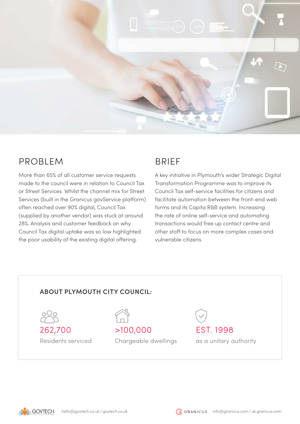

## PROBLEM

More than 65% of all customer service requests made to the council were in relation to Council Tax or Street Services. Whilst the channel mix for Street Services (built in the Granicus govService platform) often reached over 90% digital, Council Tax (supplied by another vendor) was stuck at around 28%. Analysis and customer feedback on why Council Tax digital uptake was so low highlighted the poor usability of the existing digital offering.

## **BRIFF**

A key initiative in Plymouth's wider Strategic Digital Transformation Programme was to improve its Council Tax self-service facilities for citizens and facilitate automation between the front-end web forms and its Capita R&B system. Increasing the rate of online self-service and automating transactions would free up contact centre and other staff to focus on more complex cases and vulnerable citizens.

#### **ABOUT PLYMOUTH CITY COUNCIL:**





Chargeable dwellings

EST. 1998 as a unitary authority



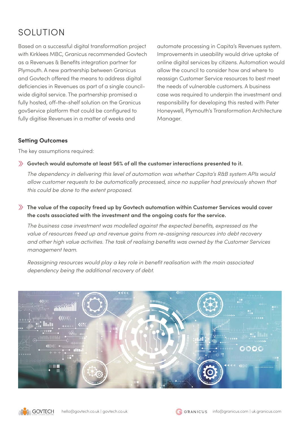## SOLUTION

Based on a successful digital transformation project with Kirklees MBC, Granicus recommended Govtech as a Revenues & Benefits integration partner for Plymouth. A new partnership between Granicus and Govtech offered the means to address digital deficiencies in Revenues as part of a single councilwide digital service. The partnership promised a fully hosted, off-the-shelf solution on the Granicus govService platform that could be configured to fully digitise Revenues in a matter of weeks and

automate processing in Capita's Revenues system. Improvements in useability would drive uptake of online digital services by citizens. Automation would allow the council to consider how and where to reassign Customer Service resources to best meet the needs of vulnerable customers. A business case was required to underpin the investment and responsibility for developing this rested with Peter Honeywell, Plymouth's Transformation Architecture Manager.

#### **Setting Outcomes**

The key assumptions required:

#### **Govtech would automate at least 56% of all the customer interactions presented to it.**

*The dependency in delivering this level of automation was whether Capita's R&B system APIs would allow customer requests to be automatically processed, since no supplier had previously shown that this could be done to the extent proposed.*

#### **The value of the capacity freed up by Govtech automation within Customer Services would cover the costs associated with the investment and the ongoing costs for the service.**

*The business case investment was modelled against the expected benefits, expressed as the value of resources freed up and revenue gains from re-assigning resources into debt recovery and other high value activities. The task of realising benefits was owned by the Customer Services management team.* 

*Reassigning resources would play a key role in benefit realisation with the main associated dependency being the additional recovery of debt.*



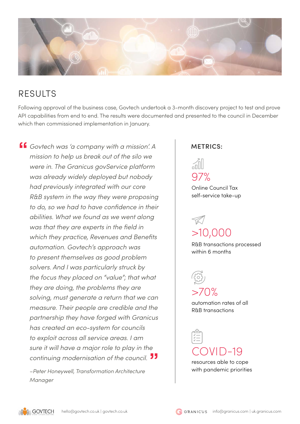

## **RESULTS**

Following approval of the business case, Govtech undertook a 3-month discovery project to test and prove API capabilities from end to end. The results were documented and presented to the council in December which then commissioned implementation in January.

*Govtech was 'a company with a mission'. A mission to help us break out of the silo we were in. The Granicus govService platform was already widely deployed but nobody had previously integrated with our core R&B system in the way they were proposing to do, so we had to have confidence in their abilities. What we found as we went along was that they are experts in the field in which they practice, Revenues and Benefits automation. Govtech's approach was to present themselves as good problem solvers. And I was particularly struck by the focus they placed on "value"; that what they are doing, the problems they are solving, must generate a return that we can measure. Their people are credible and the partnership they have forged with Granicus has created an eco-system for councils to exploit across all service areas. I am sure it will have a major role to play in the continuing modernisation of the council.*

*–Peter Honeywell, Transformation Architecture Manager*

#### **METRICS:**

ńI 97%

Online Council Tax self-service take-up

## >10,000

R&B transactions processed within 6 months

 $>70%$ 

automation rates of all R&B transactions

 $COVID-19$ 

resources able to cope with pandemic priorities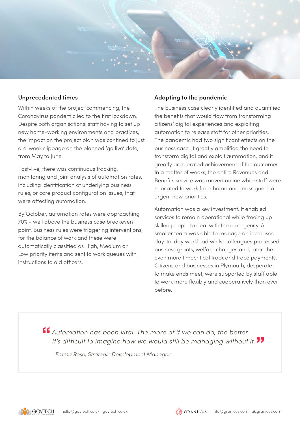

#### **Unprecedented times**

Within weeks of the project commencing, the Coronavirus pandemic led to the first lockdown. Despite both organisations' staff having to set up new home-working environments and practices, the impact on the project plan was confined to just a 4-week slippage on the planned 'go live' date, from May to June.

Post-live, there was continuous tracking, monitoring and joint analysis of automation rates, including identification of underlying business rules, or core product configuration issues, that were affecting automation.

By October, automation rates were approaching 70% - well above the business case breakeven point. Business rules were triggering interventions for the balance of work and these were automatically classified as High, Medium or Low priority items and sent to work queues with instructions to aid officers.

#### **Adapting to the pandemic**

The business case clearly identified and quantified the benefits that would flow from transforming citizens' digital experiences and exploiting automation to release staff for other priorities. The pandemic had two significant effects on the business case. It greatly amplified the need to transform digital and exploit automation, and it greatly accelerated achievement of the outcomes. In a matter of weeks, the entire Revenues and Benefits service was moved online while staff were relocated to work from home and reassigned to urgent new priorities.

Automation was a key investment. It enabled services to remain operational while freeing up skilled people to deal with the emergency. A smaller team was able to manage an increased day-to-day workload whilst colleagues processed business grants, welfare changes and, later, the even more timecritical track and trace payments. Citizens and businesses in Plymouth, desperate to make ends meet, were supported by staff able to work more flexibly and cooperatively than ever before.

*Automation has been vital. The more of it we can do, the better. It's difficult to imagine how we would still be managing without it.*

*–Emma Rose, Strategic Development Manager*